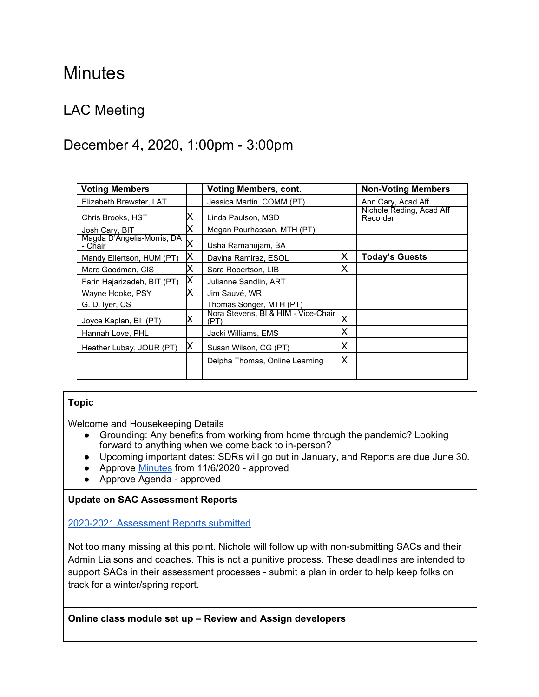# **Minutes**

# LAC Meeting

# December 4, 2020, 1:00pm - 3:00pm

| <b>Voting Members</b>                 |   | <b>Voting Members, cont.</b>                |   | <b>Non-Voting Members</b>            |
|---------------------------------------|---|---------------------------------------------|---|--------------------------------------|
| Elizabeth Brewster, LAT               |   | Jessica Martin, COMM (PT)                   |   | Ann Cary, Acad Aff                   |
| Chris Brooks, HST                     | Х | Linda Paulson, MSD                          |   | Nichole Reding, Acad Aff<br>Recorder |
| Josh Cary, BIT                        | х | Megan Pourhassan, MTH (PT)                  |   |                                      |
| Magda D'Angelis-Morris, DA<br>- Chair | Χ | Usha Ramanujam, BA                          |   |                                      |
| Mandy Ellertson, HUM (PT)             | X | Davina Ramirez, ESOL                        | X | <b>Today's Guests</b>                |
| Marc Goodman, CIS                     | Χ | Sara Robertson, LIB                         |   |                                      |
| Farin Hajarizadeh, BIT (PT)           | X | Julianne Sandlin, ART                       |   |                                      |
| Wayne Hooke, PSY                      | Х | Jim Sauvé, WR                               |   |                                      |
| G. D. Iver, CS                        |   | Thomas Songer, MTH (PT)                     |   |                                      |
| Joyce Kaplan, BI (PT)                 | Х | Nora Stevens, BI & HIM - Vice-Chair<br>(PT) | Χ |                                      |
| Hannah Love, PHL                      |   | Jacki Williams, EMS                         | х |                                      |
| Heather Lubay, JOUR (PT)              | Х | Susan Wilson, CG (PT)                       | х |                                      |
|                                       |   | Delpha Thomas, Online Learning              | X |                                      |
|                                       |   |                                             |   |                                      |

### **Topic**

Welcome and Housekeeping Details

- Grounding: Any benefits from working from home through the pandemic? Looking forward to anything when we come back to in-person?
- Upcoming important dates: SDRs will go out in January, and Reports are due June 30.
- Approve [Minutes](https://docs.google.com/document/d/1kZMy8xfeT_M9nKkr4icIotG-xHgaAUzGfb7KIwn5OOI/edit?usp=sharing) from 11/6/2020 approved
- Approve Agenda approved

#### **Update on SAC Assessment Reports**

2020-2021 [Assessment](https://docs.google.com/spreadsheets/d/1iziZGbLMSHi2dcM6sjK-6BqannM0AHeEzFyjH4okzQY/edit?usp=sharing) Reports submitted

Not too many missing at this point. Nichole will follow up with non-submitting SACs and their Admin Liaisons and coaches. This is not a punitive process. These deadlines are intended to support SACs in their assessment processes - submit a plan in order to help keep folks on track for a winter/spring report.

**Online class module set up – Review and Assign developers**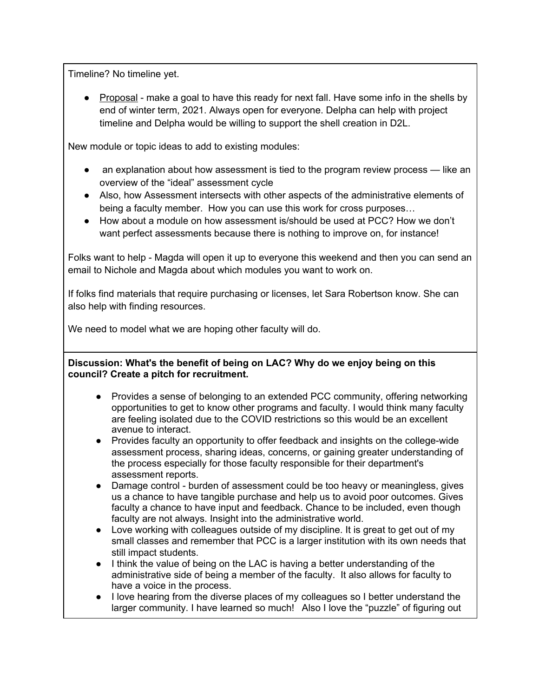Timeline? No timeline yet.

● Proposal - make a goal to have this ready for next fall. Have some info in the shells by end of winter term, 2021. Always open for everyone. Delpha can help with project timeline and Delpha would be willing to support the shell creation in D2L.

New module or topic ideas to add to existing modules:

- an explanation about how assessment is tied to the program review process like an overview of the "ideal" assessment cycle
- Also, how Assessment intersects with other aspects of the administrative elements of being a faculty member. How you can use this work for cross purposes…
- How about a module on how assessment is/should be used at PCC? How we don't want perfect assessments because there is nothing to improve on, for instance!

Folks want to help - Magda will open it up to everyone this weekend and then you can send an email to Nichole and Magda about which modules you want to work on.

If folks find materials that require purchasing or licenses, let Sara Robertson know. She can also help with finding resources.

We need to model what we are hoping other faculty will do.

#### **Discussion: What's the benefit of being on LAC? Why do we enjoy being on this council? Create a pitch for recruitment.**

- Provides a sense of belonging to an extended PCC community, offering networking opportunities to get to know other programs and faculty. I would think many faculty are feeling isolated due to the COVID restrictions so this would be an excellent avenue to interact.
- Provides faculty an opportunity to offer feedback and insights on the college-wide assessment process, sharing ideas, concerns, or gaining greater understanding of the process especially for those faculty responsible for their department's assessment reports.
- Damage control burden of assessment could be too heavy or meaningless, gives us a chance to have tangible purchase and help us to avoid poor outcomes. Gives faculty a chance to have input and feedback. Chance to be included, even though faculty are not always. Insight into the administrative world.
- Love working with colleagues outside of my discipline. It is great to get out of my small classes and remember that PCC is a larger institution with its own needs that still impact students.
- I think the value of being on the LAC is having a better understanding of the administrative side of being a member of the faculty. It also allows for faculty to have a voice in the process.
- I love hearing from the diverse places of my colleagues so I better understand the larger community. I have learned so much! Also I love the "puzzle" of figuring out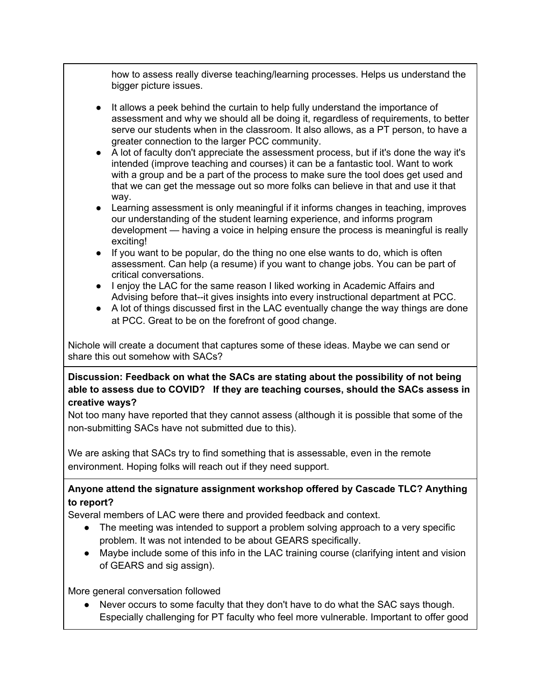how to assess really diverse teaching/learning processes. Helps us understand the bigger picture issues.

- It allows a peek behind the curtain to help fully understand the importance of assessment and why we should all be doing it, regardless of requirements, to better serve our students when in the classroom. It also allows, as a PT person, to have a greater connection to the larger PCC community.
- A lot of faculty don't appreciate the assessment process, but if it's done the way it's intended (improve teaching and courses) it can be a fantastic tool. Want to work with a group and be a part of the process to make sure the tool does get used and that we can get the message out so more folks can believe in that and use it that way.
- Learning assessment is only meaningful if it informs changes in teaching, improves our understanding of the student learning experience, and informs program development — having a voice in helping ensure the process is meaningful is really exciting!
- If you want to be popular, do the thing no one else wants to do, which is often assessment. Can help (a resume) if you want to change jobs. You can be part of critical conversations.
- I enjoy the LAC for the same reason I liked working in Academic Affairs and Advising before that--it gives insights into every instructional department at PCC.
- A lot of things discussed first in the LAC eventually change the way things are done at PCC. Great to be on the forefront of good change.

Nichole will create a document that captures some of these ideas. Maybe we can send or share this out somehow with SACs?

**Discussion: Feedback on what the SACs are stating about the possibility of not being able to assess due to COVID? If they are teaching courses, should the SACs assess in creative ways?**

Not too many have reported that they cannot assess (although it is possible that some of the non-submitting SACs have not submitted due to this).

We are asking that SACs try to find something that is assessable, even in the remote environment. Hoping folks will reach out if they need support.

# **Anyone attend the signature assignment workshop offered by Cascade TLC? Anything to report?**

Several members of LAC were there and provided feedback and context.

- The meeting was intended to support a problem solving approach to a very specific problem. It was not intended to be about GEARS specifically.
- Maybe include some of this info in the LAC training course (clarifying intent and vision of GEARS and sig assign).

More general conversation followed

Never occurs to some faculty that they don't have to do what the SAC says though. Especially challenging for PT faculty who feel more vulnerable. Important to offer good